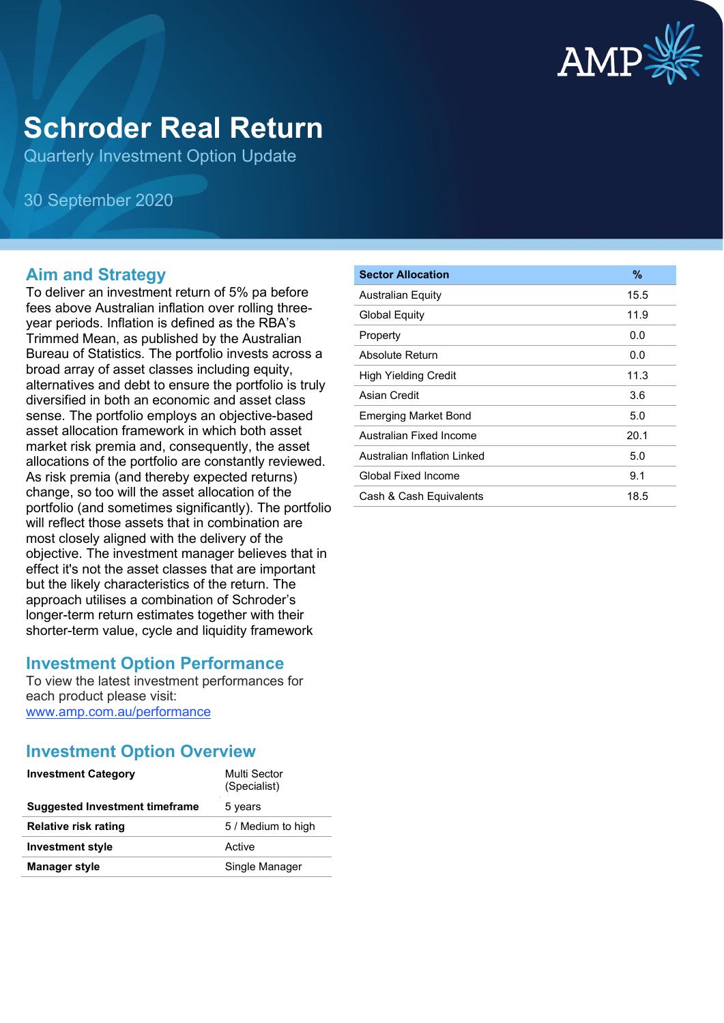

# **Schroder Real Return**

Quarterly Investment Option Update

30 September 2020

## **Aim and Strategy**

To deliver an investment return of 5% pa before fees above Australian inflation over rolling threeyear periods. Inflation is defined as the RBA's Trimmed Mean, as published by the Australian Bureau of Statistics. The portfolio invests across a broad array of asset classes including equity, alternatives and debt to ensure the portfolio is truly diversified in both an economic and asset class sense. The portfolio employs an objective-based asset allocation framework in which both asset market risk premia and, consequently, the asset allocations of the portfolio are constantly reviewed. As risk premia (and thereby expected returns) change, so too will the asset allocation of the portfolio (and sometimes significantly). The portfolio will reflect those assets that in combination are most closely aligned with the delivery of the objective. The investment manager believes that in effect it's not the asset classes that are important but the likely characteristics of the return. The approach utilises a combination of Schroder's longer-term return estimates together with their shorter-term value, cycle and liquidity framework

## **Investment Option Performance**

To view the latest investment performances for each product please visit: [www.amp.com.au/performance](https://www.amp.com.au/performance)

## **Investment Option Overview**

| <b>Investment Category</b>            | Multi Sector<br>(Specialist) |
|---------------------------------------|------------------------------|
| <b>Suggested Investment timeframe</b> | 5 years                      |
| <b>Relative risk rating</b>           | 5 / Medium to high           |
| <b>Investment style</b>               | Active                       |
| <b>Manager style</b>                  | Single Manager               |

| <b>Sector Allocation</b>    | $\%$ |
|-----------------------------|------|
| <b>Australian Equity</b>    | 15.5 |
| <b>Global Equity</b>        | 11.9 |
| Property                    | 0.0  |
| Absolute Return             | 0.0  |
| High Yielding Credit        | 11.3 |
| Asian Credit                | 3.6  |
| Emerging Market Bond        | 5.0  |
| Australian Fixed Income     | 20.1 |
| Australian Inflation Linked | 5.0  |
| Global Fixed Income         | 9.1  |
| Cash & Cash Equivalents     | 18.5 |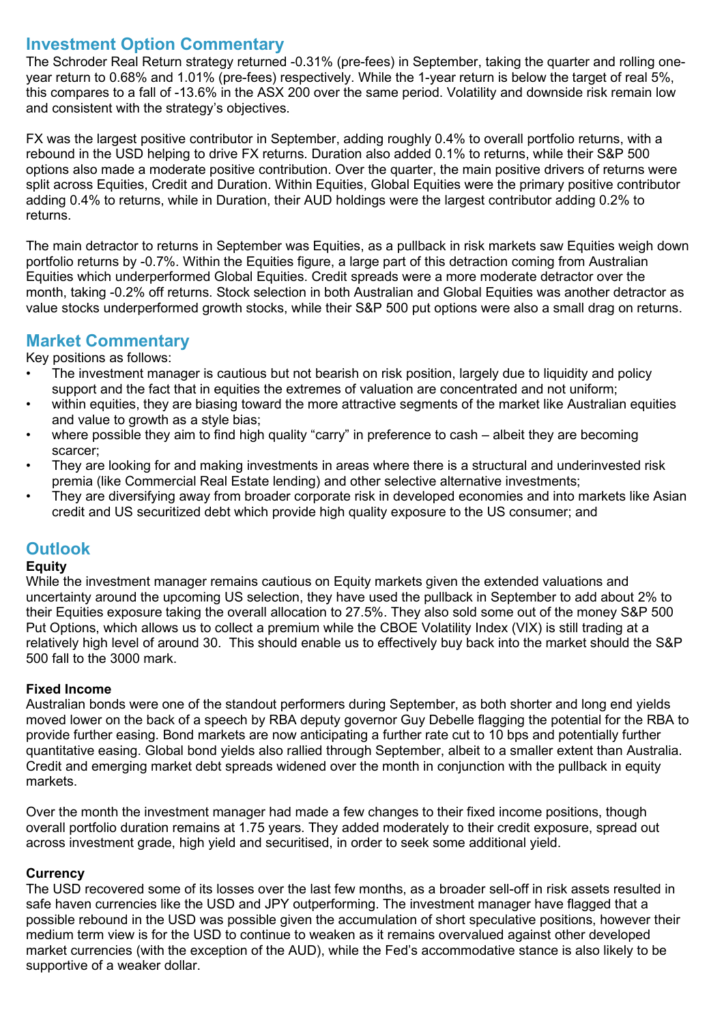## **Investment Option Commentary**

The Schroder Real Return strategy returned -0.31% (pre-fees) in September, taking the quarter and rolling oneyear return to 0.68% and 1.01% (pre-fees) respectively. While the 1-year return is below the target of real 5%, this compares to a fall of -13.6% in the ASX 200 over the same period. Volatility and downside risk remain low and consistent with the strategy's objectives.

FX was the largest positive contributor in September, adding roughly 0.4% to overall portfolio returns, with a rebound in the USD helping to drive FX returns. Duration also added 0.1% to returns, while their S&P 500 options also made a moderate positive contribution. Over the quarter, the main positive drivers of returns were split across Equities, Credit and Duration. Within Equities, Global Equities were the primary positive contributor adding 0.4% to returns, while in Duration, their AUD holdings were the largest contributor adding 0.2% to returns.

The main detractor to returns in September was Equities, as a pullback in risk markets saw Equities weigh down portfolio returns by -0.7%. Within the Equities figure, a large part of this detraction coming from Australian Equities which underperformed Global Equities. Credit spreads were a more moderate detractor over the month, taking -0.2% off returns. Stock selection in both Australian and Global Equities was another detractor as value stocks underperformed growth stocks, while their S&P 500 put options were also a small drag on returns.

## **Market Commentary**

Key positions as follows:

- The investment manager is cautious but not bearish on risk position, largely due to liquidity and policy support and the fact that in equities the extremes of valuation are concentrated and not uniform;
- within equities, they are biasing toward the more attractive segments of the market like Australian equities and value to growth as a style bias:
- where possible they aim to find high quality "carry" in preference to cash albeit they are becoming scarcer;
- They are looking for and making investments in areas where there is a structural and underinvested risk premia (like Commercial Real Estate lending) and other selective alternative investments;
- They are diversifying away from broader corporate risk in developed economies and into markets like Asian credit and US securitized debt which provide high quality exposure to the US consumer; and

## **Outlook**

#### **Equity**

While the investment manager remains cautious on Equity markets given the extended valuations and uncertainty around the upcoming US selection, they have used the pullback in September to add about 2% to their Equities exposure taking the overall allocation to 27.5%. They also sold some out of the money S&P 500 Put Options, which allows us to collect a premium while the CBOE Volatility Index (VIX) is still trading at a relatively high level of around 30. This should enable us to effectively buy back into the market should the S&P 500 fall to the 3000 mark.

#### **Fixed Income**

Australian bonds were one of the standout performers during September, as both shorter and long end yields moved lower on the back of a speech by RBA deputy governor Guy Debelle flagging the potential for the RBA to provide further easing. Bond markets are now anticipating a further rate cut to 10 bps and potentially further quantitative easing. Global bond yields also rallied through September, albeit to a smaller extent than Australia. Credit and emerging market debt spreads widened over the month in conjunction with the pullback in equity markets.

Over the month the investment manager had made a few changes to their fixed income positions, though overall portfolio duration remains at 1.75 years. They added moderately to their credit exposure, spread out across investment grade, high yield and securitised, in order to seek some additional yield.

### **Currency**

The USD recovered some of its losses over the last few months, as a broader sell-off in risk assets resulted in safe haven currencies like the USD and JPY outperforming. The investment manager have flagged that a possible rebound in the USD was possible given the accumulation of short speculative positions, however their medium term view is for the USD to continue to weaken as it remains overvalued against other developed market currencies (with the exception of the AUD), while the Fed's accommodative stance is also likely to be supportive of a weaker dollar.